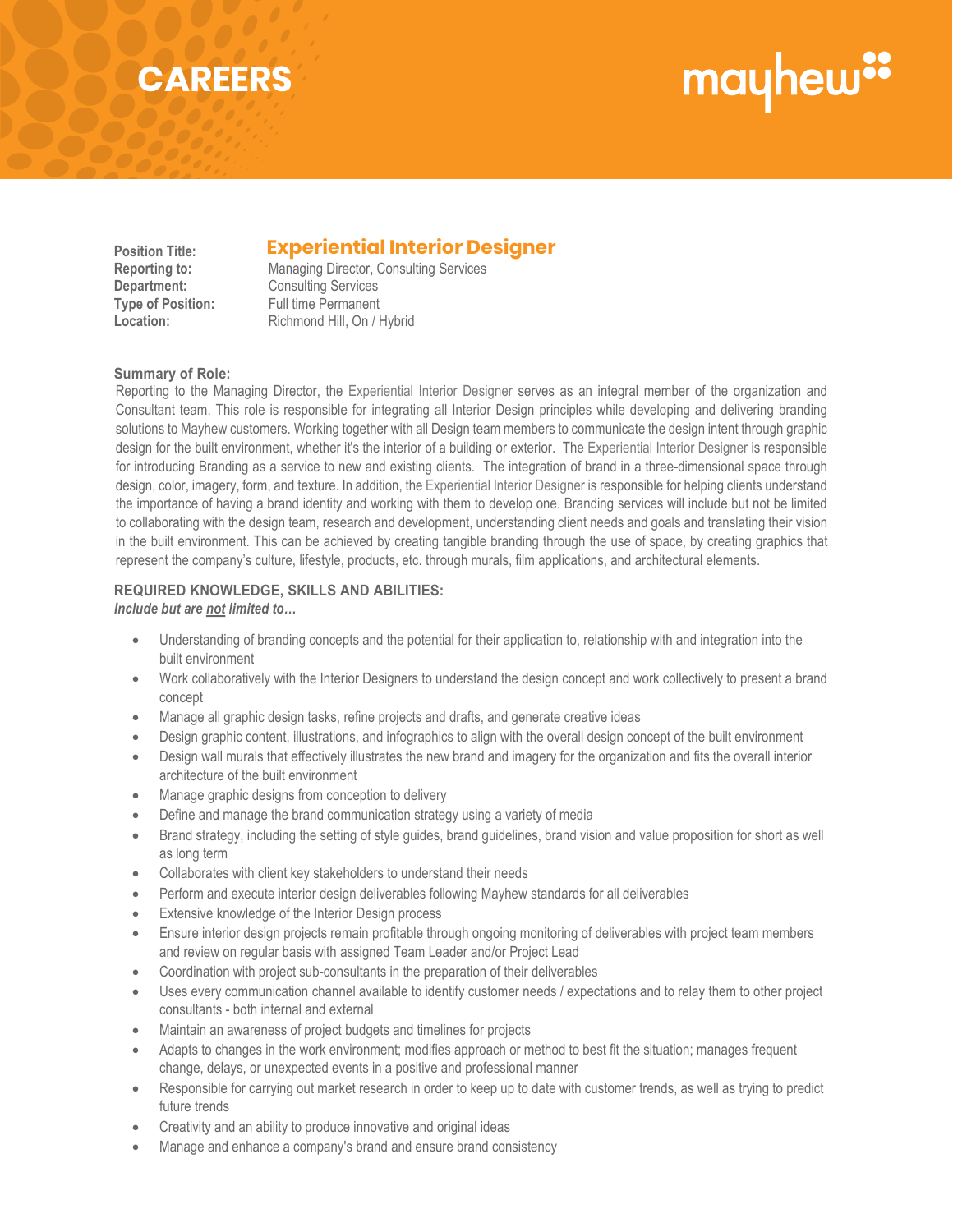## mayhew"

### **CAREERS**

### **Position Title: Experiential Interior Designer Experiential Interior Designer**

**Reporting to:** Managing Director, Consulting Services **Department:** Consulting Services **Type of Position:** Full time Permanent Location: Richmond Hill, On / Hybrid

#### **Summary of Role:**

Reporting to the Managing Director, the Experiential Interior Designer serves as an integral member of the organization and Consultant team. This role is responsible for integrating all Interior Design principles while developing and delivering branding solutions to Mayhew customers. Working together with all Design team members to communicate the design intent through graphic design for the built environment, whether it's the interior of a building or exterior. The Experiential Interior Designer is responsible for introducing Branding as a service to new and existing clients. The integration of brand in a three-dimensional space through design, color, imagery, form, and texture. In addition, the Experiential Interior Designer is responsible for helping clients understand the importance of having a brand identity and working with them to develop one. Branding services will include but not be limited to collaborating with the design team, research and development, understanding client needs and goals and translating their vision in the built environment. This can be achieved by creating tangible branding through the use of space, by creating graphics that represent the company's culture, lifestyle, products, etc. through murals, film applications, and architectural elements.

#### **REQUIRED KNOWLEDGE, SKILLS AND ABILITIES:** *Include but are not limited to…*

- Understanding of branding concepts and the potential for their application to, relationship with and integration into the built environment
- Work collaboratively with the Interior Designers to understand the design concept and work collectively to present a brand concept
- Manage all graphic design tasks, refine projects and drafts, and generate creative ideas
- Design graphic content, illustrations, and infographics to align with the overall design concept of the built environment
- Design wall murals that effectively illustrates the new brand and imagery for the organization and fits the overall interior architecture of the built environment
- Manage graphic designs from conception to delivery
- Define and manage the brand communication strategy using a variety of media
- Brand strategy, including the setting of style guides, brand guidelines, brand vision and value proposition for short as well as long term
- Collaborates with client key stakeholders to understand their needs
- Perform and execute interior design deliverables following Mayhew standards for all deliverables
- Extensive knowledge of the Interior Design process
- Ensure interior design projects remain profitable through ongoing monitoring of deliverables with project team members and review on regular basis with assigned Team Leader and/or Project Lead
- Coordination with project sub-consultants in the preparation of their deliverables
- Uses every communication channel available to identify customer needs / expectations and to relay them to other project consultants - both internal and external
- Maintain an awareness of project budgets and timelines for projects
- Adapts to changes in the work environment; modifies approach or method to best fit the situation; manages frequent change, delays, or unexpected events in a positive and professional manner
- Responsible for carrying out market research in order to keep up to date with customer trends, as well as trying to predict future trends
- Creativity and an ability to produce innovative and original ideas
- Manage and enhance a company's brand and ensure brand consistency